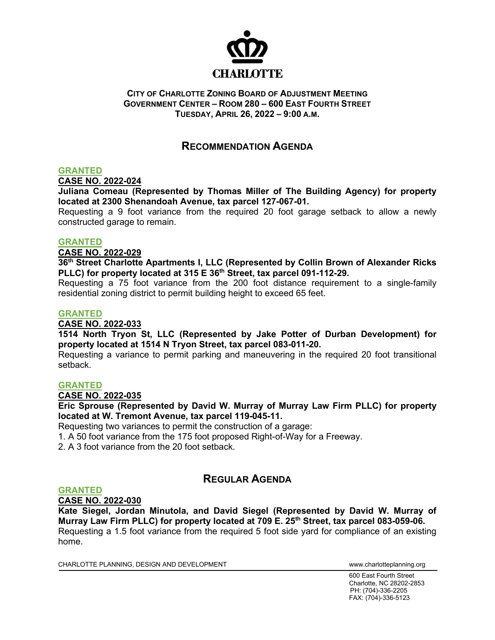

### **CITY OF CHARLOTTE ZONING BOARD OF ADJUSTMENT MEETING GOVERNMENT CENTER – ROOM 280 – 600 EAST FOURTH STREET TUESDAY, APRIL 26, 2022 – 9:00 A.M.**

## **RECOMMENDATION AGENDA**

### **GRANTED**

**CASE NO. 2022-024**

**Juliana Comeau (Represented by Thomas Miller of The Building Agency) for property located at 2300 Shenandoah Avenue, tax parcel 127-067-01.** 

Requesting a 9 foot variance from the required 20 foot garage setback to allow a newly constructed garage to remain.

### **GRANTED**

**CASE NO. 2022-029**

**36th Street Charlotte Apartments I, LLC (Represented by Collin Brown of Alexander Ricks PLLC) for property located at 315 E 36th Street, tax parcel 091-112-29.**

Requesting a 75 foot variance from the 200 foot distance requirement to a single-family residential zoning district to permit building height to exceed 65 feet.

#### **GRANTED**

### **CASE NO. 2022-033**

**1514 North Tryon St, LLC (Represented by Jake Potter of Durban Development) for property located at 1514 N Tryon Street, tax parcel 083-011-20.** 

Requesting a variance to permit parking and maneuvering in the required 20 foot transitional setback.

### **GRANTED**

**CASE NO. 2022-035**

**Eric Sprouse (Represented by David W. Murray of Murray Law Firm PLLC) for property located at W. Tremont Avenue, tax parcel 119-045-11.** 

Requesting two variances to permit the construction of a garage:

1. A 50 foot variance from the 175 foot proposed Right-of-Way for a Freeway.

2. A 3 foot variance from the 20 foot setback.

## **REGULAR AGENDA**

### **GRANTED**

**CASE NO. 2022-030**

**Kate Siegel, Jordan Minutola, and David Siegel (Represented by David W. Murray of Murray Law Firm PLLC) for property located at 709 E. 25th Street, tax parcel 083-059-06.**  Requesting a 1.5 foot variance from the required 5 foot side yard for compliance of an existing home.

CHARLOTTE PLANNING, DESIGN AND DEVELOPMENT WWW.charlotteplanning.org

600 East Fourth Street Charlotte, NC 28202-2853 PH: (704)-336-2205 FAX: (704)-336-5123